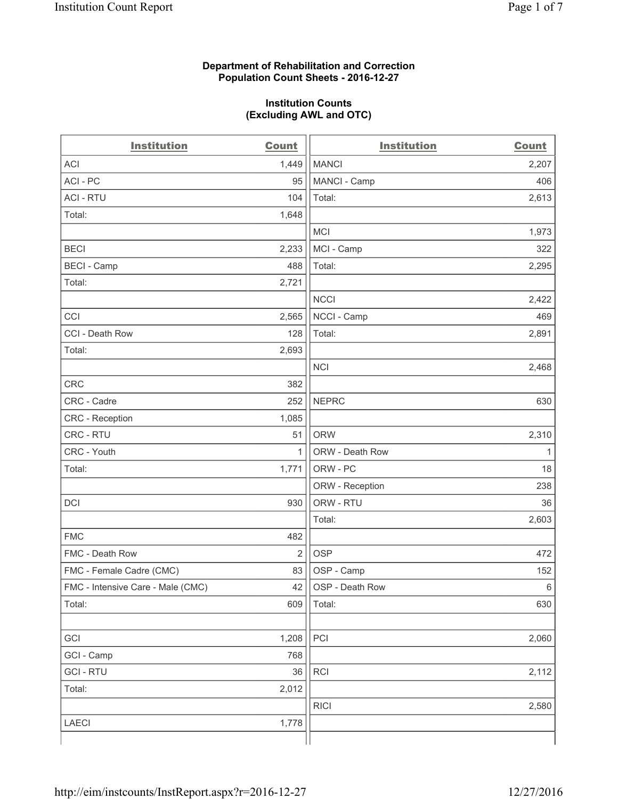### **Department of Rehabilitation and Correction Population Count Sheets - 2016-12-27**

#### **Institution Counts (Excluding AWL and OTC)**

| <b>Institution</b>                | <b>Count</b>   | <b>Institution</b> | <b>Count</b> |
|-----------------------------------|----------------|--------------------|--------------|
| <b>ACI</b>                        | 1,449          | <b>MANCI</b>       | 2,207        |
| ACI-PC                            | 95             | MANCI - Camp       | 406          |
| <b>ACI - RTU</b>                  | 104            | Total:             | 2,613        |
| Total:                            | 1,648          |                    |              |
|                                   |                | <b>MCI</b>         | 1,973        |
| <b>BECI</b>                       | 2,233          | MCI - Camp         | 322          |
| <b>BECI</b> - Camp                | 488            | Total:             | 2,295        |
| Total:                            | 2,721          |                    |              |
|                                   |                | <b>NCCI</b>        | 2,422        |
| CCI                               | 2,565          | NCCI - Camp        | 469          |
| CCI - Death Row                   | 128            | Total:             | 2,891        |
| Total:                            | 2,693          |                    |              |
|                                   |                | <b>NCI</b>         | 2,468        |
| <b>CRC</b>                        | 382            |                    |              |
| CRC - Cadre                       | 252            | <b>NEPRC</b>       | 630          |
| CRC - Reception                   | 1,085          |                    |              |
| CRC - RTU                         | 51             | <b>ORW</b>         | 2,310        |
| CRC - Youth                       | 1              | ORW - Death Row    | 1            |
| Total:                            | 1,771          | ORW - PC           | 18           |
|                                   |                | ORW - Reception    | 238          |
| DCI                               | 930            | ORW - RTU          | 36           |
|                                   |                | Total:             | 2,603        |
| <b>FMC</b>                        | 482            |                    |              |
| FMC - Death Row                   | $\overline{2}$ | <b>OSP</b>         | 472          |
| FMC - Female Cadre (CMC)          | 83             | OSP - Camp         | 152          |
| FMC - Intensive Care - Male (CMC) | 42             | OSP - Death Row    | 6            |
| Total:                            | 609            | Total:             | 630          |
|                                   |                |                    |              |
| GCI                               | 1,208          | PCI                | 2,060        |
| GCI - Camp                        | 768            |                    |              |
| <b>GCI-RTU</b>                    | 36             | RCI                | 2,112        |
| Total:                            | 2,012          |                    |              |
|                                   |                | <b>RICI</b>        | 2,580        |
| <b>LAECI</b>                      | 1,778          |                    |              |
|                                   |                |                    |              |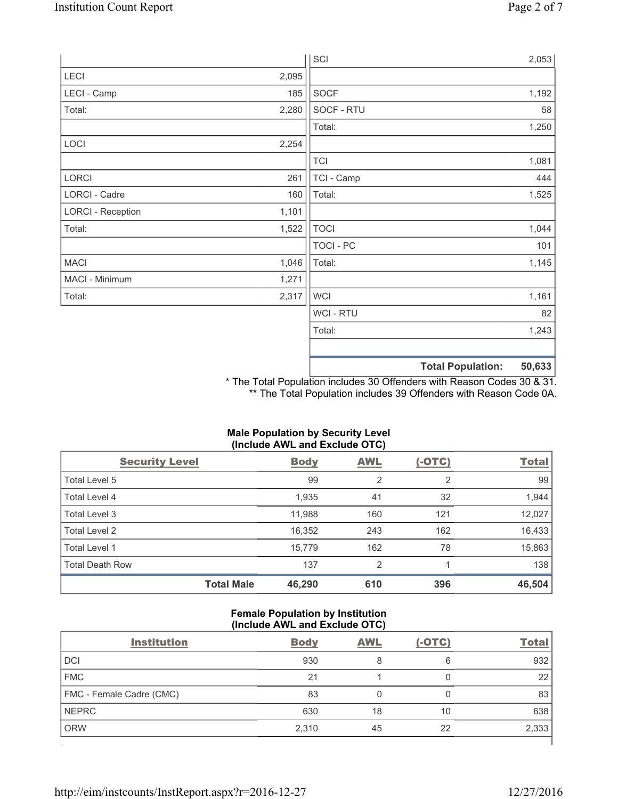|                          |       | SCI            |                          | 2,053  |
|--------------------------|-------|----------------|--------------------------|--------|
| LECI                     | 2,095 |                |                          |        |
| LECI - Camp              | 185   | SOCF           |                          | 1,192  |
| Total:                   | 2,280 | SOCF - RTU     |                          | 58     |
|                          |       | Total:         |                          | 1,250  |
| LOCI                     | 2,254 |                |                          |        |
|                          |       | <b>TCI</b>     |                          | 1,081  |
| LORCI                    | 261   | TCI - Camp     |                          | 444    |
| LORCI - Cadre            | 160   | Total:         |                          | 1,525  |
| <b>LORCI - Reception</b> | 1,101 |                |                          |        |
| Total:                   | 1,522 | <b>TOCI</b>    |                          | 1,044  |
|                          |       | TOCI - PC      |                          | 101    |
| <b>MACI</b>              | 1,046 | Total:         |                          | 1,145  |
| MACI - Minimum           | 1,271 |                |                          |        |
| Total:                   | 2,317 | <b>WCI</b>     |                          | 1,161  |
|                          |       | <b>WCI-RTU</b> |                          | 82     |
|                          |       | Total:         |                          | 1,243  |
|                          |       |                | <b>Total Population:</b> | 50,633 |

\* The Total Population includes 30 Offenders with Reason Codes 30 & 31. \*\* The Total Population includes 39 Offenders with Reason Code 0A.

# **Male Population by Security Level (Include AWL and Exclude OTC)**

| <b>Security Level</b>  |                   | <b>Body</b> | AWL            | $(-OTC)$ | <b>Total</b> |
|------------------------|-------------------|-------------|----------------|----------|--------------|
| Total Level 5          |                   | 99          | $\overline{2}$ | 2        | 99           |
| <b>Total Level 4</b>   |                   | 1,935       | 41             | 32       | 1,944        |
| Total Level 3          |                   | 11,988      | 160            | 121      | 12,027       |
| Total Level 2          |                   | 16,352      | 243            | 162      | 16,433       |
| <b>Total Level 1</b>   |                   | 15,779      | 162            | 78       | 15,863       |
| <b>Total Death Row</b> |                   | 137         | $\overline{2}$ |          | 138          |
|                        | <b>Total Male</b> | 46,290      | 610            | 396      | 46,504       |

### **Female Population by Institution (Include AWL and Exclude OTC)**

| <b>Institution</b>       | <b>Body</b> | <b>AWL</b> | $(-OTC)$ | <b>Total</b> |
|--------------------------|-------------|------------|----------|--------------|
| <b>DCI</b>               | 930         | 8          | 6        | 932          |
| <b>FMC</b>               | 21          |            |          | 22           |
| FMC - Female Cadre (CMC) | 83          |            |          | 83           |
| <b>NEPRC</b>             | 630         | 18         | 10       | 638          |
| <b>ORW</b>               | 2,310       | 45         | 22       | 2,333        |
|                          |             |            |          |              |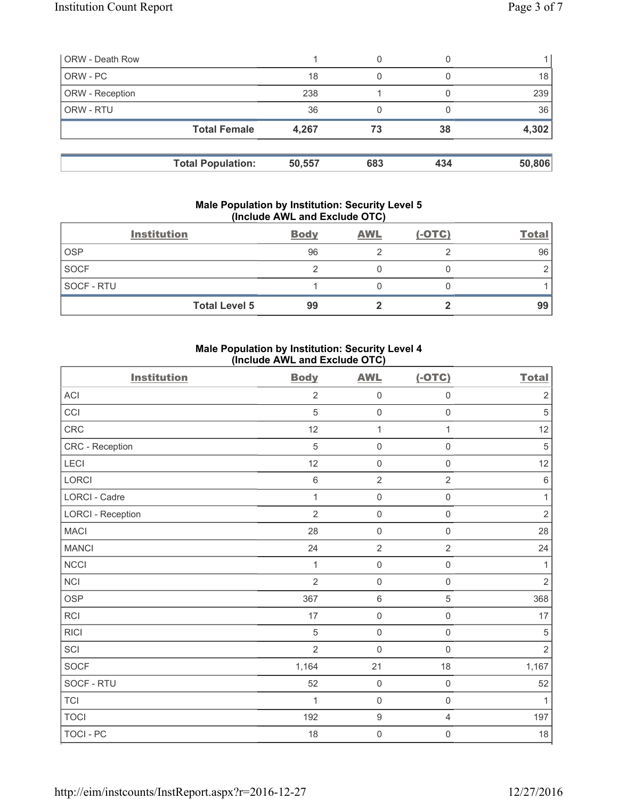| <b>ORW</b> - Death Row |                          |        | 0   |     |        |
|------------------------|--------------------------|--------|-----|-----|--------|
| ORW - PC               |                          | 18     | 0   |     | 18     |
| ORW - Reception        |                          | 238    |     |     | 239    |
| ORW - RTU              |                          | 36     | 0   |     | 36     |
|                        | <b>Total Female</b>      | 4,267  | 73  | 38  | 4,302  |
|                        | <b>Total Population:</b> | 50,557 | 683 | 434 | 50,806 |

#### **Male Population by Institution: Security Level 5 (Include AWL and Exclude OTC)**

|             | <b>Institution</b>   | <b>Body</b> | <b>AWL</b> | $(-OTC)$ | <b>Total</b> |
|-------------|----------------------|-------------|------------|----------|--------------|
| <b>OSP</b>  |                      | 96          |            |          | 96           |
| <b>SOCF</b> |                      |             |            |          |              |
| SOCF - RTU  |                      |             |            |          |              |
|             | <b>Total Level 5</b> | 99          |            |          | 99           |

## **Male Population by Institution: Security Level 4 (Include AWL and Exclude OTC)**

| <b>Institution</b>       | <b>Body</b>    | <b>AWL</b>          | $(-OTC)$            | <b>Total</b>   |
|--------------------------|----------------|---------------------|---------------------|----------------|
| <b>ACI</b>               | $\overline{2}$ | $\mathsf{O}\xspace$ | $\mathbf 0$         | $\overline{2}$ |
| CCI                      | $\sqrt{5}$     | $\mathbf 0$         | $\mathsf{O}\xspace$ | $\sqrt{5}$     |
| CRC                      | 12             | $\mathbf{1}$        | 1                   | 12             |
| CRC - Reception          | 5              | $\mathbf 0$         | $\mathsf 0$         | $\sqrt{5}$     |
| LECI                     | 12             | $\mathsf{O}\xspace$ | $\mathbf 0$         | 12             |
| <b>LORCI</b>             | 6              | $\overline{2}$      | $\overline{2}$      | $\,6$          |
| LORCI - Cadre            | 1              | $\mathsf{O}\xspace$ | $\mathsf 0$         | $\mathbf{1}$   |
| <b>LORCI - Reception</b> | $\overline{2}$ | $\mathsf{O}\xspace$ | $\mathsf{O}\xspace$ | $\overline{2}$ |
| <b>MACI</b>              | 28             | $\mathbf 0$         | $\mathbf 0$         | 28             |
| <b>MANCI</b>             | 24             | $\overline{2}$      | $\overline{2}$      | 24             |
| <b>NCCI</b>              | 1              | $\mathsf{O}\xspace$ | $\mathsf 0$         | 1              |
| NCI                      | $\overline{2}$ | $\mathbf 0$         | $\mathsf 0$         | $\overline{2}$ |
| <b>OSP</b>               | 367            | $\,6\,$             | 5                   | 368            |
| RCI                      | $17$           | $\mathsf{O}\xspace$ | $\mathsf 0$         | $17\,$         |
| <b>RICI</b>              | 5              | $\mathbf 0$         | $\mathbf 0$         | 5              |
| SCI                      | $\overline{2}$ | $\mathbf 0$         | $\mathbf 0$         | $\overline{2}$ |
| SOCF                     | 1,164          | 21                  | 18                  | 1,167          |
| SOCF - RTU               | 52             | $\mathsf{O}\xspace$ | $\mathsf 0$         | 52             |
| <b>TCI</b>               | 1              | $\mathbf 0$         | $\mathsf{O}\xspace$ | 1              |
| <b>TOCI</b>              | 192            | $\boldsymbol{9}$    | $\overline{4}$      | 197            |
| TOCI - PC                | 18             | $\mathsf{O}\xspace$ | 0                   | $18\,$         |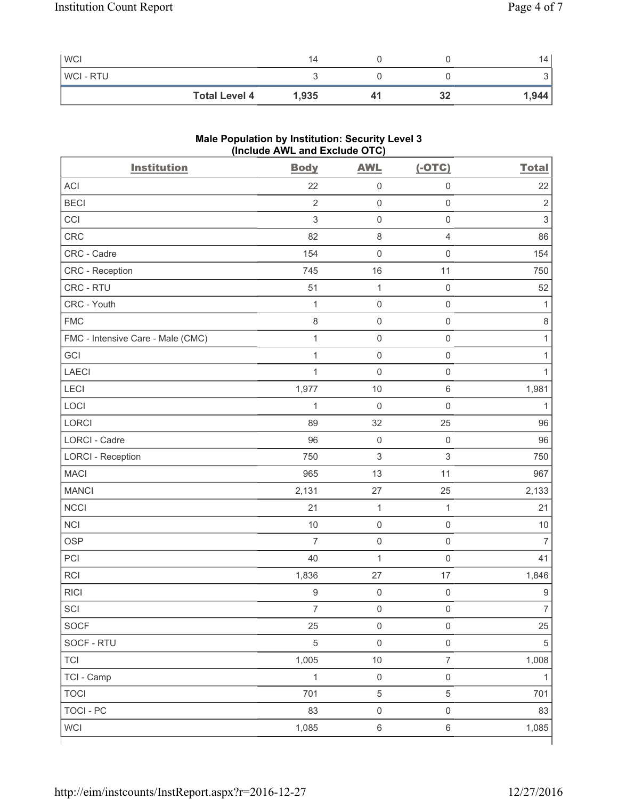| <b>WCI</b>           | 14    |    | 14    |
|----------------------|-------|----|-------|
| <b>WCI-RTU</b>       |       |    | ັ     |
| <b>Total Level 4</b> | 1,935 | 32 | 1,944 |

# **Male Population by Institution: Security Level 3 (Include AWL and Exclude OTC)**

| <b>Institution</b>                | <b>Body</b>      | <b>AWL</b>          | $(-OTC)$                  | <b>Total</b>     |
|-----------------------------------|------------------|---------------------|---------------------------|------------------|
| <b>ACI</b>                        | 22               | $\mathsf{O}\xspace$ | $\mathbf 0$               | 22               |
| <b>BECI</b>                       | $\overline{2}$   | $\mathsf{O}\xspace$ | $\mathsf{O}\xspace$       | $\overline{2}$   |
| CCI                               | 3                | $\mathsf 0$         | $\mathsf{O}\xspace$       | $\mathfrak{S}$   |
| CRC                               | 82               | $\,8\,$             | $\overline{4}$            | 86               |
| CRC - Cadre                       | 154              | $\mathsf 0$         | $\mathbf 0$               | 154              |
| CRC - Reception                   | 745              | 16                  | 11                        | 750              |
| CRC - RTU                         | 51               | $\mathbf{1}$        | $\mathbf 0$               | 52               |
| CRC - Youth                       | 1                | $\mathsf 0$         | $\mathsf 0$               | 1                |
| <b>FMC</b>                        | 8                | $\mathsf{O}\xspace$ | $\mathsf{O}\xspace$       | 8                |
| FMC - Intensive Care - Male (CMC) | $\mathbf{1}$     | $\mathsf{O}\xspace$ | $\mathsf{O}\xspace$       | $\mathbf{1}$     |
| GCI                               | $\mathbf{1}$     | $\mathsf{O}\xspace$ | $\mathsf{O}\xspace$       | 1                |
| <b>LAECI</b>                      | $\mathbf{1}$     | $\mathsf{O}\xspace$ | $\mathsf{O}\xspace$       | 1                |
| LECI                              | 1,977            | $10$                | $\,6\,$                   | 1,981            |
| LOCI                              | $\mathbf{1}$     | $\mathsf{O}\xspace$ | $\mathsf{O}\xspace$       | 1                |
| <b>LORCI</b>                      | 89               | 32                  | 25                        | 96               |
| LORCI - Cadre                     | 96               | $\mathsf{O}\xspace$ | $\mathsf{O}\xspace$       | 96               |
| <b>LORCI - Reception</b>          | 750              | $\,$ 3 $\,$         | $\ensuremath{\mathsf{3}}$ | 750              |
| <b>MACI</b>                       | 965              | 13                  | 11                        | 967              |
| <b>MANCI</b>                      | 2,131            | 27                  | 25                        | 2,133            |
| <b>NCCI</b>                       | 21               | $\mathbf{1}$        | $\mathbf{1}$              | 21               |
| <b>NCI</b>                        | 10               | $\mathsf{O}\xspace$ | $\mathsf{O}\xspace$       | 10               |
| <b>OSP</b>                        | $\overline{7}$   | $\mathsf{O}\xspace$ | $\mathsf{O}\xspace$       | $\overline{7}$   |
| PCI                               | 40               | $\mathbf{1}$        | $\mathbf 0$               | 41               |
| RCI                               | 1,836            | 27                  | 17                        | 1,846            |
| <b>RICI</b>                       | $\boldsymbol{9}$ | $\mathsf{O}\xspace$ | $\mathsf{O}\xspace$       | $\boldsymbol{9}$ |
| SCI                               | $\overline{7}$   | $\mathsf{O}\xspace$ | $\mathsf{O}\xspace$       | $\overline{7}$   |
| <b>SOCF</b>                       | 25               | $\mathsf 0$         | $\mathbf 0$               | 25               |
| SOCF - RTU                        | $\,$ 5 $\,$      | $\mathsf{O}\xspace$ | $\mathsf{O}\xspace$       | $\sqrt{5}$       |
| <b>TCI</b>                        | 1,005            | $10$                | $\overline{7}$            | 1,008            |
| TCI - Camp                        | $\mathbf{1}$     | $\mathsf{O}\xspace$ | $\mathsf{O}\xspace$       | $\mathbf{1}$     |
| <b>TOCI</b>                       | 701              | $\,$ 5 $\,$         | $\sqrt{5}$                | 701              |
| <b>TOCI - PC</b>                  | 83               | $\mathsf{O}\xspace$ | $\mathsf{O}\xspace$       | 83               |
| <b>WCI</b>                        | 1,085            | $\,6\,$             | $\,6\,$                   | 1,085            |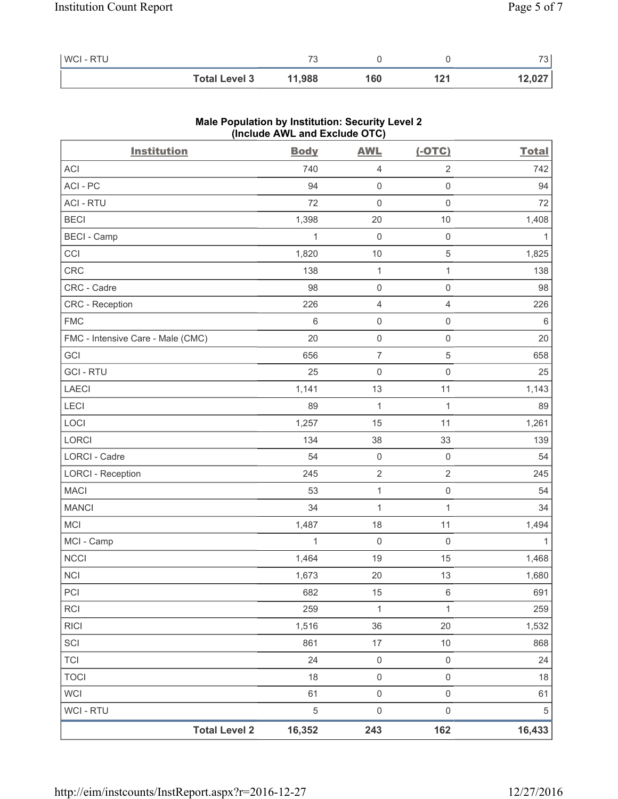| <b>WCI-RTU</b> |                      |        |     | $\overline{\phantom{a}}$<br>ີ |
|----------------|----------------------|--------|-----|-------------------------------|
|                | <b>Total Level 3</b> | 11,988 | 160 | 12,027                        |

| <b>Institution</b>                | (include AVVL and Exclude $O(O)$<br><b>Body</b> | <b>AWL</b>          | $(-OTC)$            | <b>Total</b> |
|-----------------------------------|-------------------------------------------------|---------------------|---------------------|--------------|
| ACI                               | 740                                             | 4                   | $\sqrt{2}$          | 742          |
| ACI-PC                            | 94                                              | $\mathsf 0$         | $\mathsf{O}\xspace$ | 94           |
| <b>ACI - RTU</b>                  | 72                                              | $\mathsf{O}\xspace$ | $\mathsf 0$         | 72           |
| <b>BECI</b>                       | 1,398                                           | 20                  | $10$                | 1,408        |
| <b>BECI - Camp</b>                | 1                                               | $\mathsf{O}\xspace$ | $\mathsf 0$         | 1            |
| CCI                               | 1,820                                           | $10$                | 5                   | 1,825        |
| CRC                               | 138                                             | $\mathbf{1}$        | $\mathbf{1}$        | 138          |
| CRC - Cadre                       | 98                                              | 0                   | $\mathsf{O}\xspace$ | 98           |
| CRC - Reception                   | 226                                             | $\overline{4}$      | $\overline{4}$      | 226          |
| <b>FMC</b>                        | $\,6$                                           | $\mathsf{O}\xspace$ | $\mathsf{O}\xspace$ | $\,6\,$      |
| FMC - Intensive Care - Male (CMC) | 20                                              | $\mathsf 0$         | $\mathsf 0$         | 20           |
| GCI                               | 656                                             | $\overline{7}$      | 5                   | 658          |
| <b>GCI-RTU</b>                    | 25                                              | $\mathsf{O}\xspace$ | $\mathsf 0$         | 25           |
| <b>LAECI</b>                      | 1,141                                           | 13                  | 11                  | 1,143        |
| LECI                              | 89                                              | $\mathbf{1}$        | $\mathbf{1}$        | 89           |
| LOCI                              | 1,257                                           | 15                  | 11                  | 1,261        |
| LORCI                             | 134                                             | 38                  | 33                  | 139          |
| LORCI - Cadre                     | 54                                              | $\mathsf 0$         | $\mathsf 0$         | 54           |
| <b>LORCI - Reception</b>          | 245                                             | $\mathbf 2$         | $\sqrt{2}$          | 245          |
| <b>MACI</b>                       | 53                                              | $\mathbf{1}$        | $\mathsf{O}\xspace$ | 54           |
| <b>MANCI</b>                      | 34                                              | $\mathbf{1}$        | $\mathbf{1}$        | 34           |
| <b>MCI</b>                        | 1,487                                           | 18                  | 11                  | 1,494        |
| MCI - Camp                        | $\mathbf{1}$                                    | $\mathsf{O}\xspace$ | $\mathsf{O}\xspace$ | 1            |
| <b>NCCI</b>                       | 1,464                                           | 19                  | 15                  | 1,468        |
| <b>NCI</b>                        | 1,673                                           | 20                  | 13                  | 1,680        |
| PCI                               | 682                                             | 15                  | $\,6\,$             | 691          |
| <b>RCI</b>                        | 259                                             | $\mathbf 1$         | 1                   | 259          |
| <b>RICI</b>                       | 1,516                                           | 36                  | 20                  | 1,532        |
| SCI                               | 861                                             | 17                  | $10$                | 868          |
| <b>TCI</b>                        | 24                                              | $\mathsf 0$         | $\mathsf 0$         | 24           |
| <b>TOCI</b>                       | 18                                              | $\mathsf{O}\xspace$ | $\mathsf 0$         | 18           |
| <b>WCI</b>                        | 61                                              | $\mathsf{O}\xspace$ | $\mathsf 0$         | 61           |
| <b>WCI-RTU</b>                    | $\sqrt{5}$                                      | $\mathsf 0$         | $\mathsf 0$         | 5            |
|                                   | <b>Total Level 2</b><br>16,352                  | 243                 | 162                 | 16,433       |

## **Male Population by Institution: Security Level 2 (Include AWL and Exclude OTC)**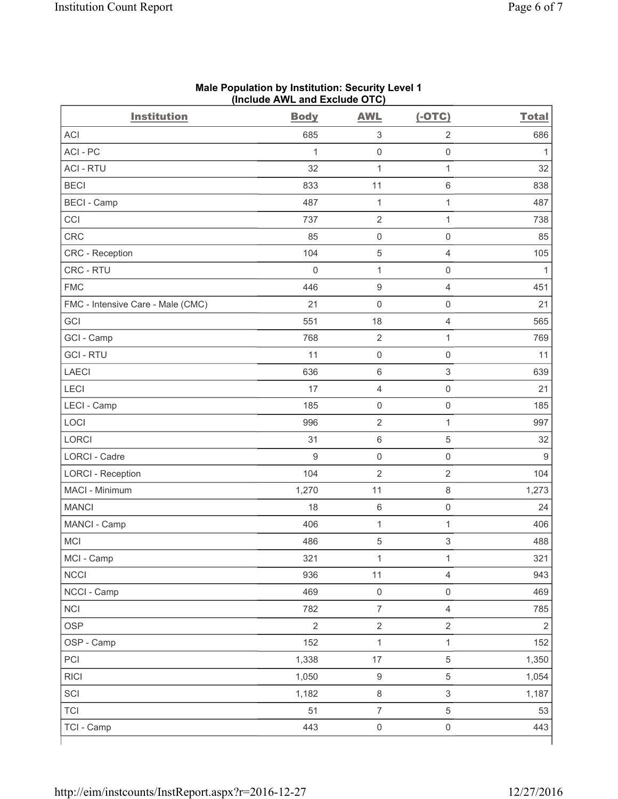| <b>Institution</b>                | <b>Body</b>      | <b>AWL</b>                | $(-OTC)$                  | <b>Total</b>   |
|-----------------------------------|------------------|---------------------------|---------------------------|----------------|
| <b>ACI</b>                        | 685              | $\ensuremath{\mathsf{3}}$ | $\overline{2}$            | 686            |
| ACI-PC                            | 1                | $\mathsf 0$               | $\mathsf 0$               | $\mathbf{1}$   |
| <b>ACI - RTU</b>                  | 32               | $\mathbf{1}$              | 1                         | 32             |
| <b>BECI</b>                       | 833              | 11                        | $\,6$                     | 838            |
| <b>BECI - Camp</b>                | 487              | $\mathbf 1$               | $\mathbf 1$               | 487            |
| CCI                               | 737              | $\sqrt{2}$                | $\mathbf{1}$              | 738            |
| CRC                               | 85               | $\mathsf 0$               | $\mathsf{O}\xspace$       | 85             |
| CRC - Reception                   | 104              | 5                         | $\overline{4}$            | 105            |
| CRC - RTU                         | $\mathsf 0$      | $\mathbf{1}$              | $\mathsf{O}\xspace$       | $\mathbf{1}$   |
| <b>FMC</b>                        | 446              | $\boldsymbol{9}$          | $\overline{4}$            | 451            |
| FMC - Intensive Care - Male (CMC) | 21               | $\mathsf{O}\xspace$       | $\mathbf 0$               | 21             |
| GCI                               | 551              | 18                        | $\overline{4}$            | 565            |
| GCI - Camp                        | 768              | $\mathbf 2$               | 1                         | 769            |
| <b>GCI-RTU</b>                    | 11               | $\mathsf 0$               | $\mathsf{O}\xspace$       | 11             |
| <b>LAECI</b>                      | 636              | $\,6\,$                   | $\ensuremath{\mathsf{3}}$ | 639            |
| LECI                              | 17               | 4                         | $\mathbf 0$               | 21             |
| LECI - Camp                       | 185              | $\mathsf 0$               | $\mathsf 0$               | 185            |
| LOCI                              | 996              | $\sqrt{2}$                | 1                         | 997            |
| <b>LORCI</b>                      | 31               | $\,6\,$                   | $\,$ 5 $\,$               | 32             |
| LORCI - Cadre                     | $\boldsymbol{9}$ | $\mathsf{O}\xspace$       | $\mathsf{O}\xspace$       | 9              |
| <b>LORCI - Reception</b>          | 104              | $\overline{2}$            | $\overline{2}$            | 104            |
| MACI - Minimum                    | 1,270            | 11                        | 8                         | 1,273          |
| <b>MANCI</b>                      | 18               | $\,6\,$                   | $\mathsf{O}\xspace$       | 24             |
| MANCI - Camp                      | 406              | $\mathbf{1}$              | 1                         | 406            |
| MCI                               | 486              | $\,$ 5 $\,$               | $\ensuremath{\mathsf{3}}$ | 488            |
| MCI - Camp                        | 321              | $\mathbf{1}$              | $\mathbf 1$               | 321            |
| <b>NCCI</b>                       | 936              | 11                        | $\overline{4}$            | 943            |
| NCCI - Camp                       | 469              | $\mathsf{O}\xspace$       | $\mathsf{O}\xspace$       | 469            |
| <b>NCI</b>                        | 782              | $\overline{7}$            | $\overline{4}$            | 785            |
| <b>OSP</b>                        | $\overline{2}$   | $\mathbf 2$               | $\sqrt{2}$                | $\overline{2}$ |
| OSP - Camp                        | 152              | $\mathbf{1}$              | $\mathbf{1}$              | 152            |
| PCI                               | 1,338            | $17\,$                    | $\,$ 5 $\,$               | 1,350          |
| <b>RICI</b>                       | 1,050            | $\boldsymbol{9}$          | $\,$ 5 $\,$               | 1,054          |
| SCI                               | 1,182            | $\,8\,$                   | $\ensuremath{\mathsf{3}}$ | 1,187          |
| <b>TCI</b>                        | 51               | $\overline{\mathcal{I}}$  | $\,$ 5 $\,$               | 53             |
| TCI - Camp                        | 443              | $\mathsf{O}\xspace$       | $\mathsf 0$               | 443            |

#### **Male Population by Institution: Security Level 1 (Include AWL and Exclude OTC)**